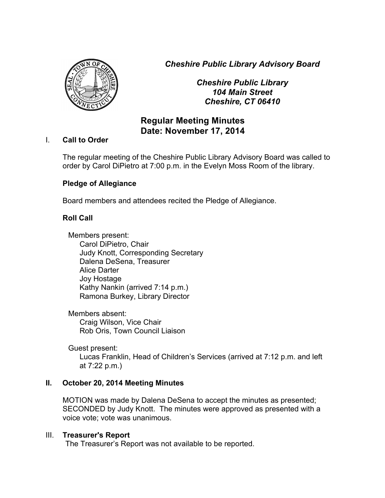*Cheshire Public Library Advisory Board*



*Cheshire Public Library 104 Main Street Cheshire, CT 06410*

# **Regular Meeting Minutes Date: November 17, 2014**

## I. **Call to Order**

The regular meeting of the Cheshire Public Library Advisory Board was called to order by Carol DiPietro at 7:00 p.m. in the Evelyn Moss Room of the library.

## **Pledge of Allegiance**

Board members and attendees recited the Pledge of Allegiance.

## **Roll Call**

Members present: Carol DiPietro, Chair Judy Knott, Corresponding Secretary Dalena DeSena, Treasurer Alice Darter Joy Hostage Kathy Nankin (arrived 7:14 p.m.) Ramona Burkey, Library Director

Members absent: Craig Wilson, Vice Chair Rob Oris, Town Council Liaison

Guest present: Lucas Franklin, Head of Children's Services (arrived at 7:12 p.m. and left at 7:22 p.m.)

## **II. October 20, 2014 Meeting Minutes**

MOTION was made by Dalena DeSena to accept the minutes as presented; SECONDED by Judy Knott. The minutes were approved as presented with a voice vote; vote was unanimous.

## III. **Treasurer's Report**

The Treasurer's Report was not available to be reported.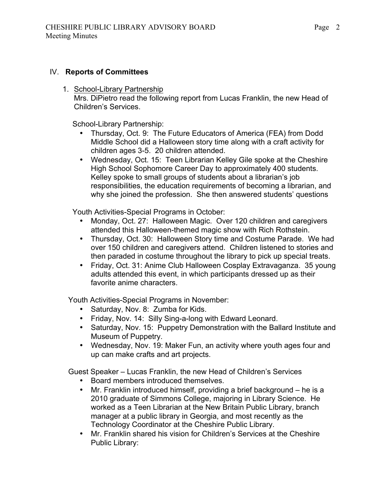### IV. **Reports of Committees**

1. School-Library Partnership Mrs. DiPietro read the following report from Lucas Franklin, the new Head of Children's Services.

School-Library Partnership:

- Thursday, Oct. 9: The Future Educators of America (FEA) from Dodd Middle School did a Halloween story time along with a craft activity for children ages 3-5. 20 children attended.
- Wednesday, Oct. 15: Teen Librarian Kelley Gile spoke at the Cheshire High School Sophomore Career Day to approximately 400 students. Kelley spoke to small groups of students about a librarian's job responsibilities, the education requirements of becoming a librarian, and why she joined the profession. She then answered students' questions

Youth Activities-Special Programs in October:

- Monday, Oct. 27: Halloween Magic. Over 120 children and caregivers attended this Halloween-themed magic show with Rich Rothstein.
- Thursday, Oct. 30: Halloween Story time and Costume Parade. We had over 150 children and caregivers attend. Children listened to stories and then paraded in costume throughout the library to pick up special treats.
- Friday, Oct. 31: Anime Club Halloween Cosplay Extravaganza. 35 young adults attended this event, in which participants dressed up as their favorite anime characters.

Youth Activities-Special Programs in November:

- Saturday, Nov. 8: Zumba for Kids.
- Friday, Nov. 14: Silly Sing-a-long with Edward Leonard.
- Saturday, Nov. 15: Puppetry Demonstration with the Ballard Institute and Museum of Puppetry.
- Wednesday, Nov. 19: Maker Fun, an activity where youth ages four and up can make crafts and art projects.

Guest Speaker – Lucas Franklin, the new Head of Children's Services

- Board members introduced themselves.<br>• Mr. Franklin introduced himself providing
- Mr. Franklin introduced himself, providing a brief background he is a 2010 graduate of Simmons College, majoring in Library Science. He worked as a Teen Librarian at the New Britain Public Library, branch manager at a public library in Georgia, and most recently as the Technology Coordinator at the Cheshire Public Library.
- Mr. Franklin shared his vision for Children's Services at the Cheshire Public Library: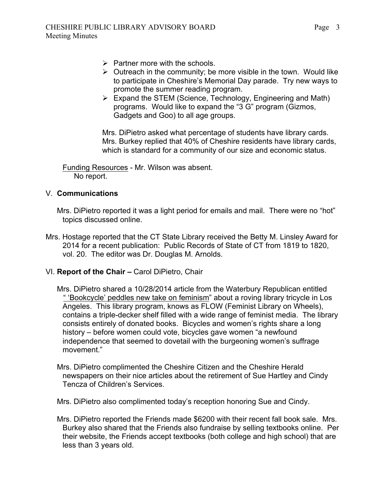- $\triangleright$  Partner more with the schools.
- $\triangleright$  Outreach in the community; be more visible in the town. Would like to participate in Cheshire's Memorial Day parade. Try new ways to promote the summer reading program.
- $\triangleright$  Expand the STEM (Science, Technology, Engineering and Math) programs. Would like to expand the "3 G" program (Gizmos, Gadgets and Goo) to all age groups.

Mrs. DiPietro asked what percentage of students have library cards. Mrs. Burkey replied that 40% of Cheshire residents have library cards, which is standard for a community of our size and economic status.

Funding Resources - Mr. Wilson was absent. No report.

## V. **Communications**

Mrs. DiPietro reported it was a light period for emails and mail. There were no "hot" topics discussed online.

- Mrs. Hostage reported that the CT State Library received the Betty M. Linsley Award for 2014 for a recent publication: Public Records of State of CT from 1819 to 1820, vol. 20. The editor was Dr. Douglas M. Arnolds.
- VI. **Report of the Chair –** Carol DiPietro, Chair
	- Mrs. DiPietro shared a 10/28/2014 article from the Waterbury Republican entitled " 'Bookcycle' peddles new take on feminism" about a roving library tricycle in Los Angeles. This library program, knows as FLOW (Feminist Library on Wheels), contains a triple-decker shelf filled with a wide range of feminist media. The library consists entirely of donated books. Bicycles and women's rights share a long history – before women could vote, bicycles gave women "a newfound independence that seemed to dovetail with the burgeoning women's suffrage movement."
	- Mrs. DiPietro complimented the Cheshire Citizen and the Cheshire Herald newspapers on their nice articles about the retirement of Sue Hartley and Cindy Tencza of Children's Services.

Mrs. DiPietro also complimented today's reception honoring Sue and Cindy.

Mrs. DiPietro reported the Friends made \$6200 with their recent fall book sale. Mrs. Burkey also shared that the Friends also fundraise by selling textbooks online. Per their website, the Friends accept textbooks (both college and high school) that are less than 3 years old.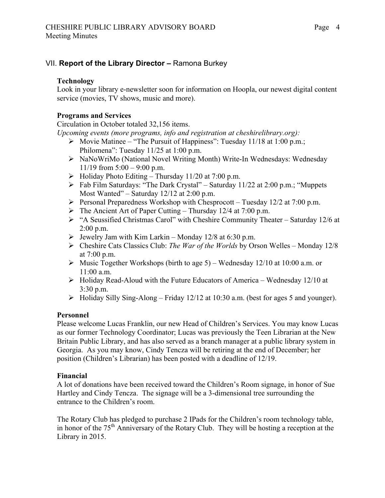## VII. **Report of the Library Director –** Ramona Burkey

#### **Technology**

Look in your library e-newsletter soon for information on Hoopla, our newest digital content service (movies, TV shows, music and more).

### **Programs and Services**

Circulation in October totaled 32,156 items.

*Upcoming events (more programs, info and registration at cheshirelibrary.org):*

- $\triangleright$  Movie Matinee "The Pursuit of Happiness": Tuesday 11/18 at 1:00 p.m.; Philomena": Tuesday 11/25 at 1:00 p.m.
- ! NaNoWriMo (National Novel Writing Month) Write-In Wednesdays: Wednesday 11/19 from  $5:00 - 9:00$  p.m.
- $\triangleright$  Holiday Photo Editing Thursday 11/20 at 7:00 p.m.
- $\triangleright$  Fab Film Saturdays: "The Dark Crystal" Saturday 11/22 at 2:00 p.m.; "Muppets" Most Wanted" – Saturday 12/12 at 2:00 p.m.
- $\triangleright$  Personal Preparedness Workshop with Chesprocott Tuesday 12/2 at 7:00 p.m.
- $\triangleright$  The Ancient Art of Paper Cutting Thursday 12/4 at 7:00 p.m.
- ! "A Seussified Christmas Carol" with Cheshire Community Theater Saturday 12/6 at 2:00 p.m.
- $\triangleright$  Jewelry Jam with Kim Larkin Monday 12/8 at 6:30 p.m.
- ! Cheshire Cats Classics Club: *The War of the Worlds* by Orson Welles Monday 12/8 at 7:00 p.m.
- $\triangleright$  Music Together Workshops (birth to age 5) Wednesday 12/10 at 10:00 a.m. or 11:00 a.m.
- $\triangleright$  Holiday Read-Aloud with the Future Educators of America Wednesday 12/10 at 3:30 p.m.
- $\triangleright$  Holiday Silly Sing-Along Friday 12/12 at 10:30 a.m. (best for ages 5 and younger).

## **Personnel**

Please welcome Lucas Franklin, our new Head of Children's Services. You may know Lucas as our former Technology Coordinator; Lucas was previously the Teen Librarian at the New Britain Public Library, and has also served as a branch manager at a public library system in Georgia. As you may know, Cindy Tencza will be retiring at the end of December; her position (Children's Librarian) has been posted with a deadline of 12/19.

#### **Financial**

A lot of donations have been received toward the Children's Room signage, in honor of Sue Hartley and Cindy Tencza. The signage will be a 3-dimensional tree surrounding the entrance to the Children's room.

The Rotary Club has pledged to purchase 2 IPads for the Children's room technology table, in honor of the 75th Anniversary of the Rotary Club. They will be hosting a reception at the Library in 2015.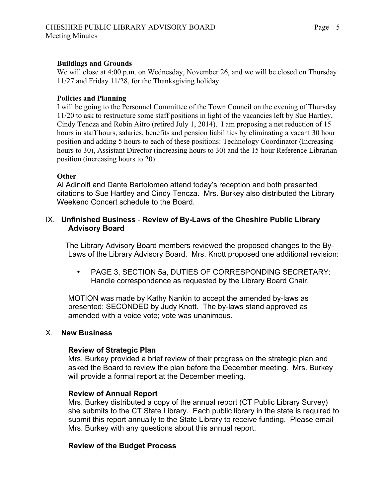#### **Buildings and Grounds**

We will close at 4:00 p.m. on Wednesday, November 26, and we will be closed on Thursday 11/27 and Friday 11/28, for the Thanksgiving holiday.

#### **Policies and Planning**

I will be going to the Personnel Committee of the Town Council on the evening of Thursday 11/20 to ask to restructure some staff positions in light of the vacancies left by Sue Hartley, Cindy Tencza and Robin Aitro (retired July 1, 2014). I am proposing a net reduction of 15 hours in staff hours, salaries, benefits and pension liabilities by eliminating a vacant 30 hour position and adding 5 hours to each of these positions: Technology Coordinator (Increasing hours to 30), Assistant Director (increasing hours to 30) and the 15 hour Reference Librarian position (increasing hours to 20).

#### **Other**

Al Adinolfi and Dante Bartolomeo attend today's reception and both presented citations to Sue Hartley and Cindy Tencza. Mrs. Burkey also distributed the Library Weekend Concert schedule to the Board.

### IX. **Unfinished Business** - **Review of By-Laws of the Cheshire Public Library Advisory Board**

The Library Advisory Board members reviewed the proposed changes to the By-Laws of the Library Advisory Board. Mrs. Knott proposed one additional revision:

• PAGE 3, SECTION 5a, DUTIES OF CORRESPONDING SECRETARY: Handle correspondence as requested by the Library Board Chair.

MOTION was made by Kathy Nankin to accept the amended by-laws as presented; SECONDED by Judy Knott. The by-laws stand approved as amended with a voice vote; vote was unanimous.

#### X. **New Business**

#### **Review of Strategic Plan**

Mrs. Burkey provided a brief review of their progress on the strategic plan and asked the Board to review the plan before the December meeting. Mrs. Burkey will provide a formal report at the December meeting.

#### **Review of Annual Report**

Mrs. Burkey distributed a copy of the annual report (CT Public Library Survey) she submits to the CT State Library. Each public library in the state is required to submit this report annually to the State Library to receive funding. Please email Mrs. Burkey with any questions about this annual report.

#### **Review of the Budget Process**